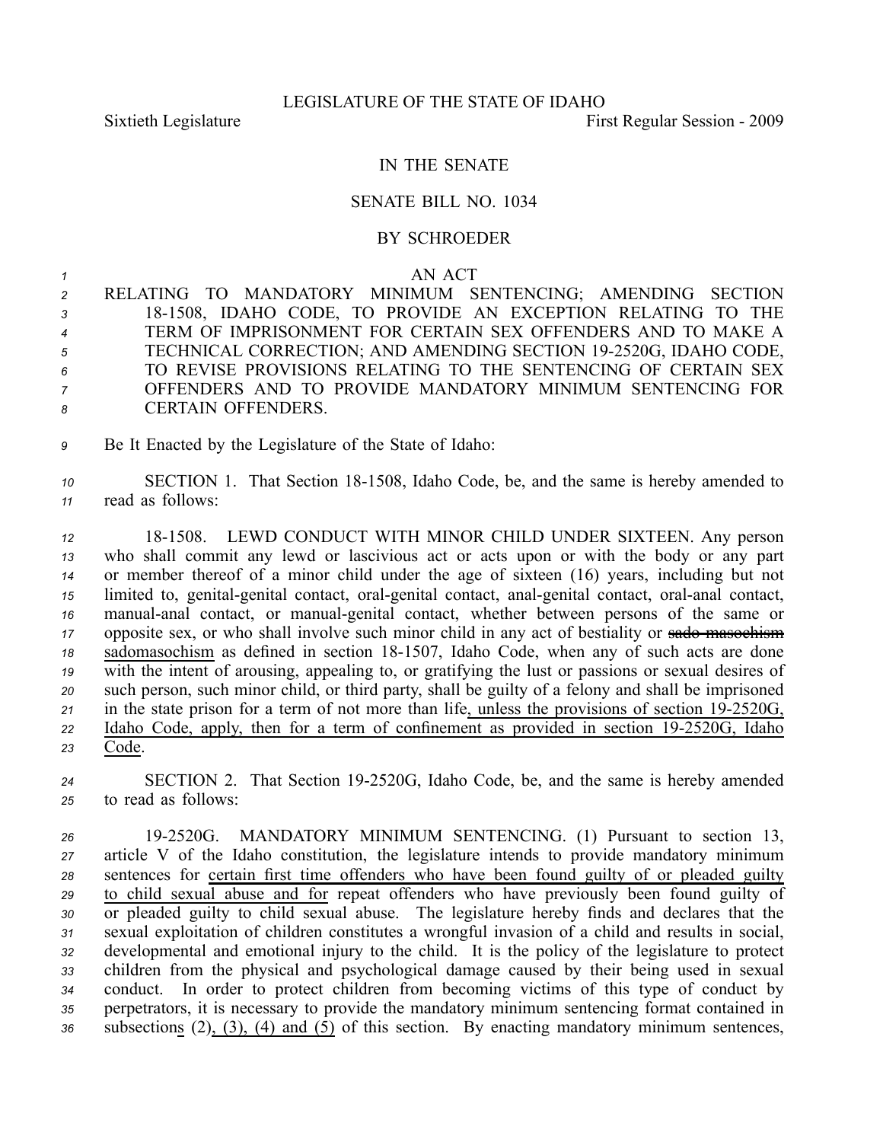## IN THE SENATE

## SENATE BILL NO. 1034

## BY SCHROEDER

## *<sup>1</sup>* AN ACT

- *<sup>2</sup>* RELATING TO MANDATORY MINIMUM SENTENCING; AMENDING SECTION *<sup>3</sup>* 181508, IDAHO CODE, TO PROVIDE AN EXCEPTION RELATING TO THE *<sup>4</sup>* TERM OF IMPRISONMENT FOR CERTAIN SEX OFFENDERS AND TO MAKE A *<sup>5</sup>* TECHNICAL CORRECTION; AND AMENDING SECTION 192520G, IDAHO CODE, *6* TO REVISE PROVISIONS RELATING TO THE SENTENCING OF CERTAIN SEX *<sup>7</sup>* OFFENDERS AND TO PROVIDE MANDATORY MINIMUM SENTENCING FOR *8* CERTAIN OFFENDERS.
- *<sup>9</sup>* Be It Enacted by the Legislature of the State of Idaho:
- 10 SECTION 1. That Section 18-1508, Idaho Code, be, and the same is hereby amended to *<sup>11</sup>* read as follows:

 181508. LEWD CONDUCT WITH MINOR CHILD UNDER SIXTEEN. Any person who shall commit any lewd or lascivious act or acts upon or with the body or any par<sup>t</sup> or member thereof of <sup>a</sup> minor child under the age of sixteen (16) years, including but not limited to, genital-genital contact, oral-genital contact, anal-genital contact, oral-anal contact, manual-anal contact, or manual-genital contact, whether between persons of the same or 17 opposite sex, or who shall involve such minor child in any act of bestiality or sado masochism 18 sadomasochism as defined in section 18-1507, Idaho Code, when any of such acts are done with the intent of arousing, appealing to, or gratifying the lust or passions or sexual desires of such person, such minor child, or third party, shall be guilty of <sup>a</sup> felony and shall be imprisoned 21 in the state prison for a term of not more than life, unless the provisions of section 19-2520G, Idaho Code, apply, then for <sup>a</sup> term of confinement as provided in section 192520G, Idaho *<sup>23</sup>* Code.

*<sup>24</sup>* SECTION 2. That Section 192520G, Idaho Code, be, and the same is hereby amended *<sup>25</sup>* to read as follows:

 192520G. MANDATORY MINIMUM SENTENCING. (1) Pursuant to section 13, article V of the Idaho constitution, the legislature intends to provide mandatory minimum sentences for certain first time offenders who have been found guilty of or pleaded guilty to child sexual abuse and for repea<sup>t</sup> offenders who have previously been found guilty of or pleaded guilty to child sexual abuse. The legislature hereby finds and declares that the sexual exploitation of children constitutes <sup>a</sup> wrongful invasion of <sup>a</sup> child and results in social, developmental and emotional injury to the child. It is the policy of the legislature to protect children from the physical and psychological damage caused by their being used in sexual conduct. In order to protect children from becoming victims of this type of conduct by perpetrators, it is necessary to provide the mandatory minimum sentencing format contained in subsections (2), (3), (4) and (5) of this section. By enacting mandatory minimum sentences,